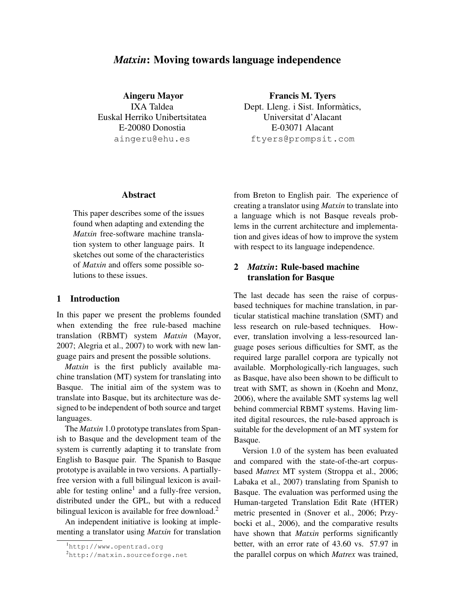# *Matxin*: Moving towards language independence

Aingeru Mayor IXA Taldea Euskal Herriko Unibertsitatea E-20080 Donostia aingeru@ehu.es

Francis M. Tyers Dept. Lleng. i Sist. Informatics, ` Universitat d'Alacant E-03071 Alacant ftyers@prompsit.com

#### Abstract

This paper describes some of the issues found when adapting and extending the *Matxin* free-software machine translation system to other language pairs. It sketches out some of the characteristics of *Matxin* and offers some possible solutions to these issues.

## 1 Introduction

In this paper we present the problems founded when extending the free rule-based machine translation (RBMT) system *Matxin* (Mayor, 2007; Alegria et al., 2007) to work with new language pairs and present the possible solutions.

*Matxin* is the first publicly available machine translation (MT) system for translating into Basque. The initial aim of the system was to translate into Basque, but its architecture was designed to be independent of both source and target languages.

The *Matxin* 1.0 prototype translates from Spanish to Basque and the development team of the system is currently adapting it to translate from English to Basque pair. The Spanish to Basque prototype is available in two versions. A partiallyfree version with a full bilingual lexicon is available for testing online<sup>1</sup> and a fully-free version, distributed under the GPL, but with a reduced bilingual lexicon is available for free download.<sup>2</sup>

An independent initiative is looking at implementing a translator using *Matxin* for translation from Breton to English pair. The experience of creating a translator using *Matxin* to translate into a language which is not Basque reveals problems in the current architecture and implementation and gives ideas of how to improve the system with respect to its language independence.

## 2 *Matxin*: Rule-based machine translation for Basque

The last decade has seen the raise of corpusbased techniques for machine translation, in particular statistical machine translation (SMT) and less research on rule-based techniques. However, translation involving a less-resourced language poses serious difficulties for SMT, as the required large parallel corpora are typically not available. Morphologically-rich languages, such as Basque, have also been shown to be difficult to treat with SMT, as shown in (Koehn and Monz, 2006), where the available SMT systems lag well behind commercial RBMT systems. Having limited digital resources, the rule-based approach is suitable for the development of an MT system for Basque.

Version 1.0 of the system has been evaluated and compared with the state-of-the-art corpusbased *Matrex* MT system (Stroppa et al., 2006; Labaka et al., 2007) translating from Spanish to Basque. The evaluation was performed using the Human-targeted Translation Edit Rate (HTER) metric presented in (Snover et al., 2006; Przybocki et al., 2006), and the comparative results have shown that *Matxin* performs significantly better, with an error rate of 43.60 vs. 57.97 in the parallel corpus on which *Matrex* was trained,

<sup>1</sup>http://www.opentrad.org

<sup>2</sup>http://matxin.sourceforge.net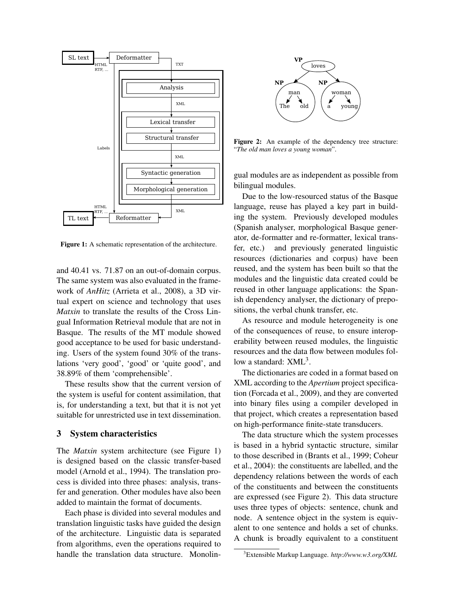

Figure 1: A schematic representation of the architecture.

and 40.41 vs. 71.87 on an out-of-domain corpus. The same system was also evaluated in the framework of *AnHitz* (Arrieta et al., 2008), a 3D virtual expert on science and technology that uses *Matxin* to translate the results of the Cross Lingual Information Retrieval module that are not in Basque. The results of the MT module showed good acceptance to be used for basic understanding. Users of the system found 30% of the translations 'very good', 'good' or 'quite good', and 38.89% of them 'comprehensible'.

These results show that the current version of the system is useful for content assimilation, that is, for understanding a text, but that it is not yet suitable for unrestricted use in text dissemination.

#### 3 System characteristics

The *Matxin* system architecture (see Figure 1) is designed based on the classic transfer-based model (Arnold et al., 1994). The translation process is divided into three phases: analysis, transfer and generation. Other modules have also been added to maintain the format of documents.

Each phase is divided into several modules and translation linguistic tasks have guided the design of the architecture. Linguistic data is separated from algorithms, even the operations required to handle the translation data structure. Monolin-



Figure 2: An example of the dependency tree structure: "*The old man loves a young woman*".

gual modules are as independent as possible from bilingual modules.

Due to the low-resourced status of the Basque language, reuse has played a key part in building the system. Previously developed modules (Spanish analyser, morphological Basque generator, de-formatter and re-formatter, lexical transfer, etc.) and previously generated linguistic resources (dictionaries and corpus) have been reused, and the system has been built so that the modules and the linguistic data created could be reused in other language applications: the Spanish dependency analyser, the dictionary of prepositions, the verbal chunk transfer, etc.

As resource and module heterogeneity is one of the consequences of reuse, to ensure interoperability between reused modules, the linguistic resources and the data flow between modules follow a standard:  $XML<sup>3</sup>$ .

The dictionaries are coded in a format based on XML according to the *Apertium* project specification (Forcada et al., 2009), and they are converted into binary files using a compiler developed in that project, which creates a representation based on high-performance finite-state transducers.

The data structure which the system processes is based in a hybrid syntactic structure, similar to those described in (Brants et al., 1999; Coheur et al., 2004): the constituents are labelled, and the dependency relations between the words of each of the constituents and between the constituents are expressed (see Figure 2). This data structure uses three types of objects: sentence, chunk and node. A sentence object in the system is equivalent to one sentence and holds a set of chunks. A chunk is broadly equivalent to a constituent

<sup>3</sup>Extensible Markup Language. *http://www.w3.org/XML*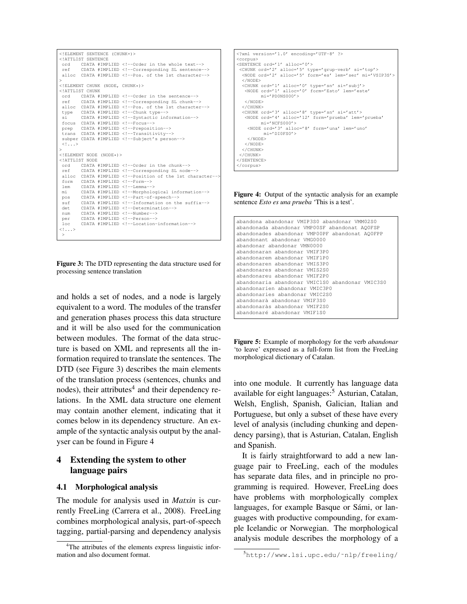```
<!ELEMENT SENTENCE (CHUNK+)>
<!ATTLIST SENTENCE
         CDATA #IMPLIED <!--Order in the whole text-->
ref CDATA #IMPLIED <!--Corresponding SL sentence-->
alloc CDATA #IMPLIED <!--Pos. of the 1st character-->
><br><!ELEMENT CHUNK (NODE, CHUNK*)>
<!ATTLIST CHUNK
         ord CDATA #IMPLIED <!--Order in the sentence-->
ref CDATA #IMPLIED <!--Corresponding SL chunk-->
alloc CDATA #IMPLIED <!--Pos. of the 1st character--><br>type CDATA #IMPLIED <!--Chunk type-->
         type CDATA #IMPLIED <!--Chunk type-->
si CDATA #IMPLIED <!--Syntactic information-->
focus CDATA #IMPLIED <!--Focus--><br>prep CDATA #IMPLIED <!--Preposit
         prep CDATA #IMPLIED <!--Preposition-->
trans CDATA #IMPLIED <!--Transitivity-->
 subper CDATA #IMPLIED <!--Subject's person-->
\langle ! . . . >
>
<!ELEMENT NODE (NODE*)>
<!ATTLIST NODE
ord CDATA #IMPLIED <!--Order in the chunk--><br>ref CDATA #IMPLIED <!--Corresponding SL node
         CDATA #IMPLIED <!--Corresponding SL node-->
alloc CDATA #IMPLIED <!--Position of the 1st character-
form CDATA #IMPLIED <!--Form--><br>lem CDATA #IMPLIED <!--Lemma--
         lem CDATA #IMPLIED <!--Lemma-->
mi CDATA #IMPLIED <!--Morphological information-->
pos CDATA #IMPLIED <!--Part-of-speech--><br>suf CDATA #IMPLIED <!--Information on th
         CDATA #IMPLIED <!--Information on the suffix-->
det CDATA #IMPLIED <!--Determination-->
num CDATA #IMPLIED <!--Number-->
per CDATA #IMPLIED <!--Person-->
loc CDATA #IMPLIED <!--Location-information-->
\langle!...>
 \ddotmark
```
Figure 3: The DTD representing the data structure used for processing sentence translation

and holds a set of nodes, and a node is largely equivalent to a word. The modules of the transfer and generation phases process this data structure and it will be also used for the communication between modules. The format of the data structure is based on XML and represents all the information required to translate the sentences. The DTD (see Figure 3) describes the main elements of the translation process (sentences, chunks and nodes), their attributes $4$  and their dependency relations. In the XML data structure one element may contain another element, indicating that it comes below in its dependency structure. An example of the syntactic analysis output by the analyser can be found in Figure 4

# 4 Extending the system to other language pairs

### 4.1 Morphological analysis

The module for analysis used in *Matxin* is currently FreeLing (Carrera et al., 2008). FreeLing combines morphological analysis, part-of-speech tagging, partial-parsing and dependency analysis



Figure 4: Output of the syntactic analysis for an example sentence *Esto es una prueba* 'This is a test'.

| abandona abandonar VMIP3S0 abandonar VMM02S0<br>abandonada abandonar VMP00SF abandonat AQ0FSP<br>abandonades abandonar VMP00PF abandonat AQ0FPP<br>abandonant abandonar VMG0000 |
|---------------------------------------------------------------------------------------------------------------------------------------------------------------------------------|
| abandonar abandonar VMN0000                                                                                                                                                     |
| abandonaran abandonar VMTF3P0                                                                                                                                                   |
| abandonarem abandonar VMIF1P0                                                                                                                                                   |
| abandonaren abandonar VMTS3P0                                                                                                                                                   |
| abandonares abandonar VMTS2S0                                                                                                                                                   |
| abandonareu abandonar VMTF2P0                                                                                                                                                   |
| abandonaria abandonar VMIC1S0 abandonar VMIC3S0                                                                                                                                 |
| abandonarien abandonar VMIC3P0                                                                                                                                                  |
| abandonaries abandonar VMIC2S0                                                                                                                                                  |
| abandonarà abandonar VMIF3S0                                                                                                                                                    |
| abandonaràs abandonar VMIF2S0                                                                                                                                                   |
| abandonaré abandonar VMTF1S0                                                                                                                                                    |

Figure 5: Example of morphology for the verb *abandonar* 'to leave' expressed as a full-form list from the FreeLing morphological dictionary of Catalan.

into one module. It currently has language data available for eight languages: $5$  Asturian, Catalan, Welsh, English, Spanish, Galician, Italian and Portuguese, but only a subset of these have every level of analysis (including chunking and dependency parsing), that is Asturian, Catalan, English and Spanish.

It is fairly straightforward to add a new language pair to FreeLing, each of the modules has separate data files, and in principle no programming is required. However, FreeLing does have problems with morphologically complex languages, for example Basque or Sámi, or languages with productive compounding, for example Icelandic or Norwegian. The morphological analysis module describes the morphology of a

<sup>&</sup>lt;sup>4</sup>The attributes of the elements express linguistic information and also document format.

<sup>5</sup>http://www.lsi.upc.edu/˜nlp/freeling/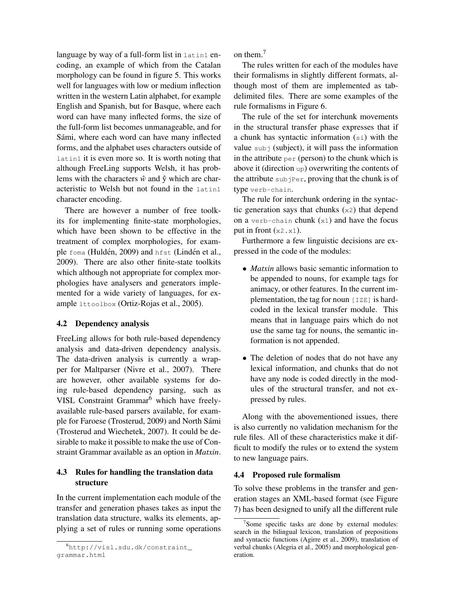language by way of a full-form list in latin1 encoding, an example of which from the Catalan morphology can be found in figure 5. This works well for languages with low or medium inflection written in the western Latin alphabet, for example English and Spanish, but for Basque, where each word can have many inflected forms, the size of the full-form list becomes unmanageable, and for Sámi, where each word can have many inflected forms, and the alphabet uses characters outside of latin1 it is even more so. It is worth noting that although FreeLing supports Welsh, it has problems with the characters  $\hat{w}$  and  $\hat{y}$  which are characteristic to Welsh but not found in the latin1 character encoding.

There are however a number of free toolkits for implementing finite-state morphologies, which have been shown to be effective in the treatment of complex morphologies, for example foma (Huldén, 2009) and hfst (Lindén et al., 2009). There are also other finite-state toolkits which although not appropriate for complex morphologies have analysers and generators implemented for a wide variety of languages, for example lttoolbox (Ortiz-Rojas et al., 2005).

#### 4.2 Dependency analysis

FreeLing allows for both rule-based dependency analysis and data-driven dependency analysis. The data-driven analysis is currently a wrapper for Maltparser (Nivre et al., 2007). There are however, other available systems for doing rule-based dependency parsing, such as VISL Constraint Grammar<sup>6</sup> which have freelyavailable rule-based parsers available, for example for Faroese (Trosterud, 2009) and North Sami ´ (Trosterud and Wiechetek, 2007). It could be desirable to make it possible to make the use of Constraint Grammar available as an option in *Matxin*.

## 4.3 Rules for handling the translation data structure

In the current implementation each module of the transfer and generation phases takes as input the translation data structure, walks its elements, applying a set of rules or running some operations on them.<sup>7</sup>

The rules written for each of the modules have their formalisms in slightly different formats, although most of them are implemented as tabdelimited files. There are some examples of the rule formalisms in Figure 6.

The rule of the set for interchunk movements in the structural transfer phase expresses that if a chunk has syntactic information (si) with the value  $sub$  (subject), it will pass the information in the attribute  $per (person)$  to the chunk which is above it (direction up) overwriting the contents of the attribute subjPer, proving that the chunk is of type verb-chain.

The rule for interchunk ordering in the syntactic generation says that chunks  $(x2)$  that depend on a verb-chain chunk  $(x1)$  and have the focus put in front  $(x2 \cdot x1)$ .

Furthermore a few linguistic decisions are expressed in the code of the modules:

- *Matxin* allows basic semantic information to be appended to nouns, for example tags for animacy, or other features. In the current implementation, the tag for noun  $|IZE|$  is hardcoded in the lexical transfer module. This means that in language pairs which do not use the same tag for nouns, the semantic information is not appended.
- The deletion of nodes that do not have any lexical information, and chunks that do not have any node is coded directly in the modules of the structural transfer, and not expressed by rules.

Along with the abovementioned issues, there is also currently no validation mechanism for the rule files. All of these characteristics make it difficult to modify the rules or to extend the system to new language pairs.

#### 4.4 Proposed rule formalism

To solve these problems in the transfer and generation stages an XML-based format (see Figure 7) has been designed to unify all the different rule

<sup>6</sup>http://visl.sdu.dk/constraint\_ grammar.html

<sup>&</sup>lt;sup>7</sup>Some specific tasks are done by external modules: search in the bilingual lexicon, translation of prepositions and syntactic functions (Agirre et al., 2009), translation of verbal chunks (Alegria et al., 2005) and morphological generation.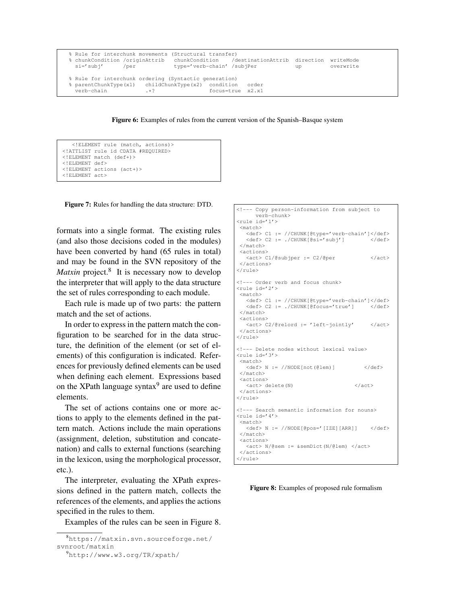```
% Rule for interchunk movements (Structural transfer)
% chunkCondition /originAttrib chunkCondition /destinationAttrib direction writeMode
 si='subj' /per type='verb-chain' /subjPer up overwrite
% Rule for interchunk ordering (Syntactic generation)
% parentChunkType(x1) childChunkType(x2) condition order
 verb-chain .*? focus=true x2.x1
```
Figure 6: Examples of rules from the current version of the Spanish–Basque system

```
<!ELEMENT rule (match, actions)>
<!ATTLIST rule id CDATA #REQUIRED>
<!ELEMENT match (def+)>
<!ELEMENT def>
<!ELEMENT actions (act+)>
<!ELEMENT act>
```
Figure 7: Rules for handling the data structure: DTD.

formats into a single format. The existing rules (and also those decisions coded in the modules) have been converted by hand (65 rules in total) and may be found in the SVN repository of the Matxin project.<sup>8</sup> It is necessary now to develop the interpreter that will apply to the data structure the set of rules corresponding to each module.

Each rule is made up of two parts: the pattern match and the set of actions.

In order to express in the pattern match the configuration to be searched for in the data structure, the definition of the element (or set of elements) of this configuration is indicated. References for previously defined elements can be used when defining each element. Expressions based on the XPath language syntax $9$  are used to define elements.

The set of actions contains one or more actions to apply to the elements defined in the pattern match. Actions include the main operations (assignment, deletion, substitution and concatenation) and calls to external functions (searching in the lexicon, using the morphological processor, etc.).

The interpreter, evaluating the XPath expressions defined in the pattern match, collects the references of the elements, and applies the actions specified in the rules to them.

Examples of the rules can be seen in Figure 8.

| <!--- Copy person-information from subject to<br>verb-chunk><br><rule id="1"></rule>                                                     |
|------------------------------------------------------------------------------------------------------------------------------------------|
| <match><br/><def> C1 := //CHUNK[@type='verb-chain']</def><br/><def> C2 := ./CHUNK[@si='subj'] </def><br/></match><br><actions></actions> |
| <act> C1/@subjper := C2/@per<br/></act><br><br>$\langle$ /rule>                                                                          |
| <!--- Order verb and focus chunk><br>$<$ rule id='2'><br>$<$ match $>$                                                                   |
| <def> C1 := //CHUNK[@type='verb-chain']</def><br><def> C2 := ./CHUNK[@focus='true'] </def><br><br><actions></actions>                    |
| <act> C2/@relord := 'left-jointly' </act><br><br>                                                                                        |
| <!--- Delete nodes without lexical value><br><rule id="3"><br/><math>&lt;</math>match<math>&gt;</math></rule>                            |
| $\langle def \rangle$ N := //NODE[not(@lem)]<br>$\langle$ /def><br><br><actions></actions>                                               |
| <br>$\langle \text{act} \rangle$ delete (N)<br><br>                                                                                      |
| <!--- Search semantic information for nouns><br>$\langle$ rule id='4'><br><match></match>                                                |
| $\langle \text{def} \rangle$ N := //NODE[@pos='[IZE][ARR]] $\langle \text{def} \rangle$<br><br><actions></actions>                       |
| <act> N/@sem := &amp;semDict(N/@lem) </act><br><br>$\langle$ /rule>                                                                      |

Figure 8: Examples of proposed rule formalism

<sup>8</sup>https://matxin.svn.sourceforge.net/ svnroot/matxin

<sup>9</sup>http://www.w3.org/TR/xpath/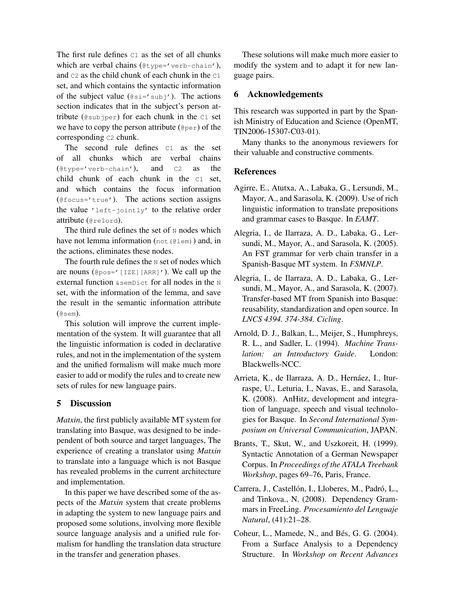The first rule defines  $C_1$  as the set of all chunks which are verbal chains (@type='verb-chain'), and C2 as the child chunk of each chunk in the C1 set, and which contains the syntactic information of the subject value  $(@si='subj')$ . The actions section indicates that in the subject's person attribute ( $@subiper$ ) for each chunk in the  $C1$  set we have to copy the person attribute (@per) of the corresponding c<sub>2</sub> chunk.

The second rule defines  $C1$  as the set of all chunks which are verbal chains (@type='verb-chain'), and C2 as the child chunk of each chunk in the C1 set, and which contains the focus information  $(0$ focus='true'). The actions section assigns the value 'left-jointly' to the relative order attribute (@relord).

The third rule defines the set of  $N$  nodes which have not lemma information (not (@lem)) and, in the actions, eliminates these nodes.

The fourth rule defines the  $N$  set of nodes which are nouns (@pos='[IZE][ARR]'). We call up the external function &semDict for all nodes in the N set, with the information of the lemma, and save the result in the semantic information attribute  $($ @sem $).$ 

This solution will improve the current implementation of the system. It will guarantee that all the linguistic information is coded in declarative rules, and not in the implementation of the system and the unified formalism will make much more easier to add or modify the rules and to create new sets of rules for new language pairs.

## 5 Discussion

*Matxin*, the first publicly available MT system for translating into Basque, was designed to be independent of both source and target languages, The experience of creating a translator using *Matxin* to translate into a language which is not Basque has revealed problems in the current architecture and implementation.

In this paper we have described some of the aspects of the *Matxin* system that create problems in adapting the system to new language pairs and proposed some solutions, involving more flexible source language analysis and a unified rule formalism for handling the translation data structure in the transfer and generation phases.

These solutions will make much more easier to modify the system and to adapt it for new language pairs.

### 6 Acknowledgements

This research was supported in part by the Spanish Ministry of Education and Science (OpenMT, TIN2006-15307-C03-01).

Many thanks to the anonymous reviewers for their valuable and constructive comments.

## **References**

- Agirre, E., Atutxa, A., Labaka, G., Lersundi, M., Mayor, A., and Sarasola, K. (2009). Use of rich linguistic information to translate prepositions and grammar cases to Basque. In *EAMT*.
- Alegria, I., de Ilarraza, A. D., Labaka, G., Lersundi, M., Mayor, A., and Sarasola, K. (2005). An FST grammar for verb chain transfer in a Spanish-Basque MT system. In *FSMNLP*.
- Alegria, I., de Ilarraza, A. D., Labaka, G., Lersundi, M., Mayor, A., and Sarasola, K. (2007). Transfer-based MT from Spanish into Basque: reusability, standardization and open source. In *LNCS 4394. 374-384. Cicling*.
- Arnold, D. J., Balkan, L., Meijer, S., Humphreys, R. L., and Sadler, L. (1994). *Machine Translation: an Introductory Guide*. London: Blackwells-NCC.
- Arrieta, K., de Ilarraza, A. D., Hernáez, I., Iturraspe, U., Leturia, I., Navas, E., and Sarasola, K. (2008). AnHitz, development and integration of language, speech and visual technologies for Basque. In *Second International Symposium on Universal Communication*, JAPAN.
- Brants, T., Skut, W., and Uszkoreit, H. (1999). Syntactic Annotation of a German Newspaper Corpus. In *Proceedings of the ATALA Treebank Workshop*, pages 69–76, Paris, France.
- Carrera, J., Castellón, I., Lloberes, M., Padró, L., and Tinkova., N. (2008). Dependency Grammars in FreeLing. *Procesamiento del Lenguaje Natural*, (41):21–28.
- Coheur, L., Mamede, N., and Bés, G. G. (2004). From a Surface Analysis to a Dependency Structure. In *Workshop on Recent Advances*